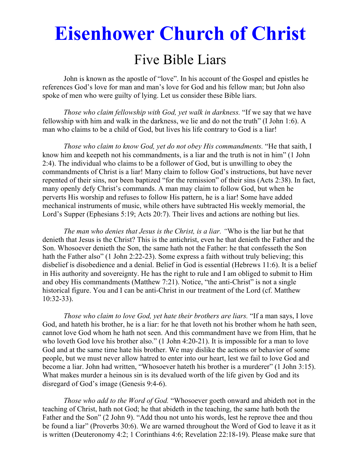# **Eisenhower Church of Christ**

# Five Bible Liars

 John is known as the apostle of "love". In his account of the Gospel and epistles he references God's love for man and man's love for God and his fellow man; but John also spoke of men who were guilty of lying. Let us consider these Bible liars.

*Those who claim fellowship with God, yet walk in darkness.* "If we say that we have fellowship with him and walk in the darkness, we lie and do not the truth" (I John 1:6). A man who claims to be a child of God, but lives his life contrary to God is a liar!

*Those who claim to know God, yet do not obey His commandments.* "He that saith, I know him and keepeth not his commandments, is a liar and the truth is not in him" (1 John 2:4). The individual who claims to be a follower of God, but is unwilling to obey the commandments of Christ is a liar! Many claim to follow God's instructions, but have never repented of their sins, nor been baptized "for the remission" of their sins (Acts 2:38). In fact, many openly defy Christ's commands. A man may claim to follow God, but when he perverts His worship and refuses to follow His pattern, he is a liar! Some have added mechanical instruments of music, while others have subtracted His weekly memorial, the Lord's Supper (Ephesians 5:19; Acts 20:7). Their lives and actions are nothing but lies.

*The man who denies that Jesus is the Christ, is a liar. "*Who is the liar but he that denieth that Jesus is the Christ? This is the antichrist, even he that denieth the Father and the Son. Whosoever denieth the Son, the same hath not the Father: he that confesseth the Son hath the Father also" (1 John 2:22-23). Some express a faith without truly believing; this disbelief is disobedience and a denial. Belief in God is essential (Hebrews 11:6). It is a belief in His authority and sovereignty. He has the right to rule and I am obliged to submit to Him and obey His commandments (Matthew 7:21). Notice, "the anti-Christ" is not a single historical figure. You and I can be anti-Christ in our treatment of the Lord (cf. Matthew 10:32-33).

*Those who claim to love God, yet hate their brothers are liars.* "If a man says, I love God, and hateth his brother, he is a liar: for he that loveth not his brother whom he hath seen, cannot love God whom he hath not seen. And this commandment have we from Him, that he who loveth God love his brother also." (1 John 4:20-21). It is impossible for a man to love God and at the same time hate his brother. We may dislike the actions or behavior of some people, but we must never allow hatred to enter into our heart, lest we fail to love God and become a liar. John had written, "Whosoever hateth his brother is a murderer" (1 John 3:15). What makes murder a heinous sin is its devalued worth of the life given by God and its disregard of God's image (Genesis 9:4-6).

*Those who add to the Word of God.* "Whosoever goeth onward and abideth not in the teaching of Christ, hath not God; he that abideth in the teaching, the same hath both the Father and the Son" (2 John 9). "Add thou not unto his words, lest he reprove thee and thou be found a liar" (Proverbs 30:6). We are warned throughout the Word of God to leave it as it is written (Deuteronomy 4:2; 1 Corinthians 4:6; Revelation 22:18-19). Please make sure that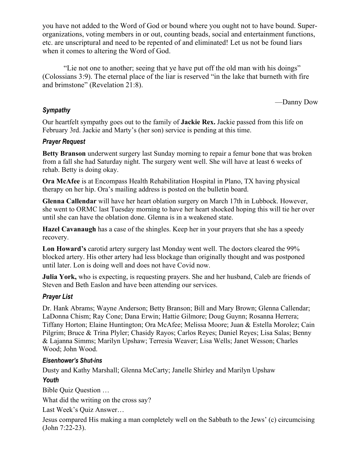you have not added to the Word of God or bound where you ought not to have bound. Superorganizations, voting members in or out, counting beads, social and entertainment functions, etc. are unscriptural and need to be repented of and eliminated! Let us not be found liars when it comes to altering the Word of God.

 "Lie not one to another; seeing that ye have put off the old man with his doings" (Colossians 3:9). The eternal place of the liar is reserved "in the lake that burneth with fire and brimstone" (Revelation 21:8).

—Danny Dow

### *Sympathy*

Our heartfelt sympathy goes out to the family of **Jackie Rex.** Jackie passed from this life on February 3rd. Jackie and Marty's (her son) service is pending at this time.

#### *Prayer Request*

**Betty Branson** underwent surgery last Sunday morning to repair a femur bone that was broken from a fall she had Saturday night. The surgery went well. She will have at least 6 weeks of rehab. Betty is doing okay.

**Ora McAfee** is at Encompass Health Rehabilitation Hospital in Plano, TX having physical therapy on her hip. Ora's mailing address is posted on the bulletin board.

**Glenna Callendar** will have her heart oblation surgery on March 17th in Lubbock. However, she went to ORMC last Tuesday morning to have her heart shocked hoping this will tie her over until she can have the oblation done. Glenna is in a weakened state.

**Hazel Cavanaugh** has a case of the shingles. Keep her in your prayers that she has a speedy recovery.

**Lon Howard's** carotid artery surgery last Monday went well. The doctors cleared the 99% blocked artery. His other artery had less blockage than originally thought and was postponed until later. Lon is doing well and does not have Covid now.

**Julia York,** who is expecting, is requesting prayers. She and her husband, Caleb are friends of Steven and Beth Easlon and have been attending our services.

#### *Prayer List*

Dr. Hank Abrams; Wayne Anderson; Betty Branson; Bill and Mary Brown; Glenna Callendar; LaDonna Chism; Ray Cone; Dana Erwin; Hattie Gilmore; Doug Guynn; Rosanna Herrera; Tiffany Horton; Elaine Huntington; Ora McAfee; Melissa Moore; Juan & Estella Morolez; Cain Pilgrim; Bruce & Trina Plyler; Chasidy Rayos; Carlos Reyes; Daniel Reyes; Lisa Salas; Benny & Lajanna Simms; Marilyn Upshaw; Terresia Weaver; Lisa Wells; Janet Wesson; Charles Wood; John Wood.

#### *Eisenhower's Shut-ins*

Dusty and Kathy Marshall; Glenna McCarty; Janelle Shirley and Marilyn Upshaw

#### *Youth*

Bible Quiz Question …

What did the writing on the cross say?

Last Week's Quiz Answer…

Jesus compared His making a man completely well on the Sabbath to the Jews' (c) circumcising (John 7:22-23).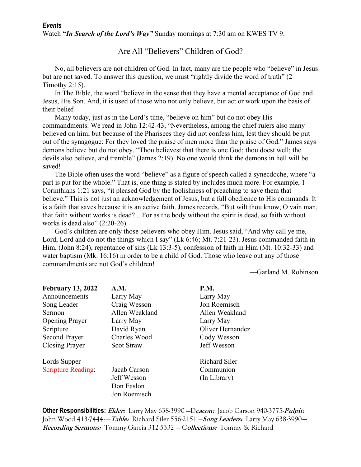#### Are All "Believers" Children of God?

 No, all believers are not children of God. In fact, many are the people who "believe" in Jesus but are not saved. To answer this question, we must "rightly divide the word of truth" (2) Timothy 2:15).

 In The Bible, the word "believe in the sense that they have a mental acceptance of God and Jesus, His Son. And, it is used of those who not only believe, but act or work upon the basis of their belief.

 Many today, just as in the Lord's time, "believe on him" but do not obey His commandments. We read in John 12:42-43, "Nevertheless, among the chief rulers also many believed on him; but because of the Pharisees they did not confess him, lest they should be put out of the synagogue: For they loved the praise of men more than the praise of God." James says demons believe but do not obey. "Thou believest that there is one God; thou doest well; the devils also believe, and tremble" (James 2:19). No one would think the demons in hell will be saved!

 The Bible often uses the word "believe" as a figure of speech called a synecdoche, where "a part is put for the whole." That is, one thing is stated by includes much more. For example, 1 Corinthians 1:21 says, "it pleased God by the foolishness of preaching to save them that believe." This is not just an acknowledgement of Jesus, but a full obedience to His commands. It is a faith that saves because it is an active faith. James records, "But wilt thou know, O vain man, that faith without works is dead? ...For as the body without the spirit is dead, so faith without works is dead also"  $(2:20-26)$ .

 God's children are only those believers who obey Him. Jesus said, "And why call ye me, Lord, Lord and do not the things which I say" (Lk 6:46; Mt. 7:21-23). Jesus commanded faith in Him, (John 8:24), repentance of sins (Lk 13:3-5), confession of faith in Him (Mt. 10:32-33) and water baptism (Mk. 16:16) in order to be a child of God. Those who leave out any of those commandments are not God's children!

—Garland M. Robinson

| <b>February 13, 2022</b>  | A.M.              | <b>P.M.</b>      |
|---------------------------|-------------------|------------------|
| Announcements             | Larry May         | Larry May        |
| Song Leader               | Craig Wesson      | Jon Roemisch     |
| Sermon                    | Allen Weakland    | Allen Weakland   |
| <b>Opening Prayer</b>     | Larry May         | Larry May        |
| Scripture                 | David Ryan        | Oliver Hernandez |
| <b>Second Prayer</b>      | Charles Wood      | Cody Wesson      |
| Closing Prayer            | <b>Scot Straw</b> | Jeff Wesson      |
| Lords Supper              |                   | Richard Siler    |
| <b>Scripture Reading:</b> | Jacab Carson      | Communion        |
|                           | Jeff Wesson       | (In Library)     |
|                           | Don Easlon        |                  |
|                           | Jon Roemisch      |                  |

**Other Responsibilities: Elder:** Larry May 638-3990 —D**eacon:** Jacob Carson 940-3775-**Pulpit:** John Wood 413-7444- —**Table:** Richard Siler 556-2151 —**Song Leaders:** Larry May 638-3990**— Recording Sermons:** Tommy Garcia 312-5332 — C**ollections:** Tommy & Richard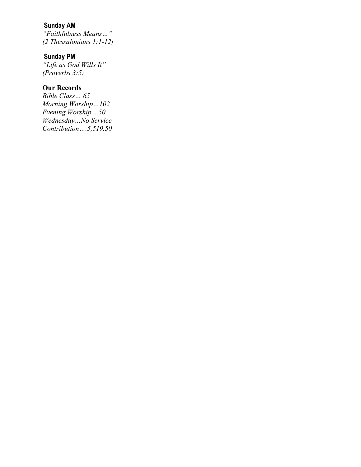## **Sunday AM**

*"Faithfulness Means…" (2 Thessalonians 1:1-12)* 

#### **Sunday PM**

*"Life as God Wills It" (Proverbs 3:5)* 

### **Our Records**

*Bible Class… 65 Morning Worship…102 Evening Worship ...50 Wednesday…No Service Contribution….5,519.50*